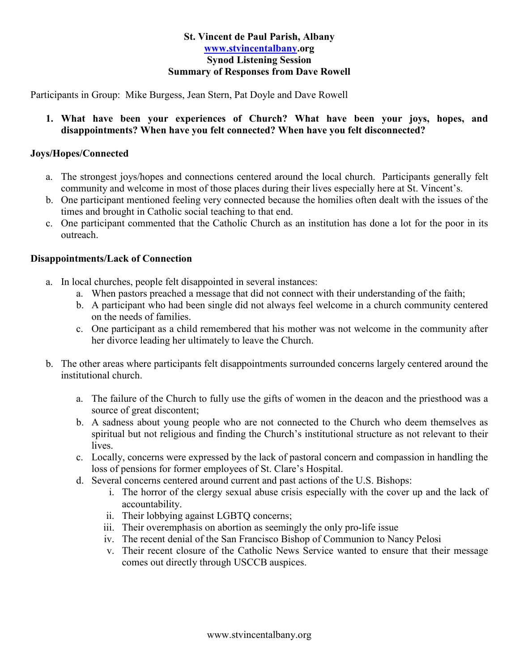### **St. Vincent de Paul Parish, Albany [www.stvincentalbany.](http://www.stvincentalbany/)org Synod Listening Session Summary of Responses from Dave Rowell**

Participants in Group: Mike Burgess, Jean Stern, Pat Doyle and Dave Rowell

**1. What have been your experiences of Church? What have been your joys, hopes, and disappointments? When have you felt connected? When have you felt disconnected?** 

# **Joys/Hopes/Connected**

- a. The strongest joys/hopes and connections centered around the local church. Participants generally felt community and welcome in most of those places during their lives especially here at St. Vincent's.
- b. One participant mentioned feeling very connected because the homilies often dealt with the issues of the times and brought in Catholic social teaching to that end.
- c. One participant commented that the Catholic Church as an institution has done a lot for the poor in its outreach.

# **Disappointments/Lack of Connection**

- a. In local churches, people felt disappointed in several instances:
	- a. When pastors preached a message that did not connect with their understanding of the faith;
	- b. A participant who had been single did not always feel welcome in a church community centered on the needs of families.
	- c. One participant as a child remembered that his mother was not welcome in the community after her divorce leading her ultimately to leave the Church.
- b. The other areas where participants felt disappointments surrounded concerns largely centered around the institutional church.
	- a. The failure of the Church to fully use the gifts of women in the deacon and the priesthood was a source of great discontent;
	- b. A sadness about young people who are not connected to the Church who deem themselves as spiritual but not religious and finding the Church's institutional structure as not relevant to their lives.
	- c. Locally, concerns were expressed by the lack of pastoral concern and compassion in handling the loss of pensions for former employees of St. Clare's Hospital.
	- d. Several concerns centered around current and past actions of the U.S. Bishops:
		- i. The horror of the clergy sexual abuse crisis especially with the cover up and the lack of accountability.
		- ii. Their lobbying against LGBTQ concerns;
		- iii. Their overemphasis on abortion as seemingly the only pro-life issue
		- iv. The recent denial of the San Francisco Bishop of Communion to Nancy Pelosi
		- v. Their recent closure of the Catholic News Service wanted to ensure that their message comes out directly through USCCB auspices.